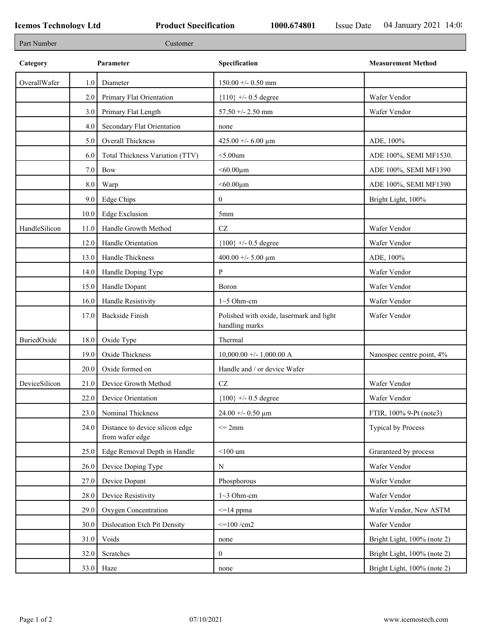| Specification<br>Category<br>Parameter<br><b>Measurement Method</b><br>OverallWafer<br>$150.00 + - 0.50$ mm<br>1.0 <sub>l</sub><br>Diameter<br>Primary Flat Orientation<br>Wafer Vendor<br>2.0<br>${110}$ +/- 0.5 degree<br>3.0<br>Primary Flat Length<br>$57.50 + - 2.50$ mm<br>Wafer Vendor<br>Secondary Flat Orientation<br>4.0<br>none<br>Overall Thickness<br>425.00 +/- 6.00 $\mu$ m<br>ADE, 100%<br>5.0<br>Total Thickness Variation (TTV)<br>ADE 100%, SEMI MF1530.<br>$<$ 5.00 $um$<br>6.0<br>7.0<br>Bow<br>$< 60.00 \mu m$<br>ADE 100%, SEMI MF1390<br>ADE 100%, SEMI MF1390<br>8.0<br>Warp<br>$< 60.00 \mu m$<br>Edge Chips<br>9.0<br>$\boldsymbol{0}$<br>Bright Light, 100%<br><b>Edge Exclusion</b><br>10.0<br>5mm<br>HandleSilicon<br>CZ<br>Wafer Vendor<br>Handle Growth Method<br>11.0<br>Handle Orientation<br>Wafer Vendor<br>12.0<br>${100}$ +/- 0.5 degree<br>Handle Thickness<br>13.0<br>400.00 +/- 5.00 $\mu$ m<br>ADE, 100%<br>P<br>Wafer Vendor<br>Handle Doping Type<br>14.0<br>Handle Dopant<br>15.0<br>Wafer Vendor<br>Boron<br>Handle Resistivity<br>Wafer Vendor<br>16.0<br>$1~5$ Ohm-cm<br><b>Backside Finish</b><br>Polished with oxide, lasermark and light<br>17.0<br>Wafer Vendor<br>handling marks<br>BuriedOxide<br>Oxide Type<br>18.0<br>Thermal<br>Oxide Thickness<br>$10,000.00 +/- 1,000.00 A$<br>19.0<br>Nanospec centre point, 4%<br>Oxide formed on<br>Handle and / or device Wafer<br>20.0<br>DeviceSilicon<br>Device Growth Method<br>Wafer Vendor<br>CZ<br>21.0<br>22.0 Device Orientation<br>$\{100\}$ +/- 0.5 degree<br>Wafer Vendor<br>Nominal Thickness<br>$24.00 + - 0.50 \text{ }\mu\text{m}$<br>FTIR, 100% 9-Pt (note3)<br>23.0<br>Distance to device silicon edge<br>$\leq$ 2mm<br>Typical by Process<br>24.0<br>from wafer edge<br>Edge Removal Depth in Handle<br>$<$ 100 um<br>Graranteed by process<br>25.0<br>26.0<br>Device Doping Type<br>Wafer Vendor<br>N<br>Device Dopant<br>Wafer Vendor<br>27.0<br>Phosphorous<br>Device Resistivity<br>Wafer Vendor<br>28.0<br>$1~3$ Ohm-cm<br>Oxygen Concentration<br>29.0<br>$\leq$ =14 ppma<br>Wafer Vendor, New ASTM<br>$\leq$ =100 /cm2<br>Wafer Vendor<br>30.0<br>Dislocation Etch Pit Density<br>Bright Light, 100% (note 2)<br>31.0<br>Voids<br>none<br>32.0<br>Scratches<br>$\mathbf{0}$<br>Bright Light, 100% (note 2)<br>$33.0$ Haze<br>Bright Light, 100% (note 2)<br>none | Part Number |  | Customer |  |
|-------------------------------------------------------------------------------------------------------------------------------------------------------------------------------------------------------------------------------------------------------------------------------------------------------------------------------------------------------------------------------------------------------------------------------------------------------------------------------------------------------------------------------------------------------------------------------------------------------------------------------------------------------------------------------------------------------------------------------------------------------------------------------------------------------------------------------------------------------------------------------------------------------------------------------------------------------------------------------------------------------------------------------------------------------------------------------------------------------------------------------------------------------------------------------------------------------------------------------------------------------------------------------------------------------------------------------------------------------------------------------------------------------------------------------------------------------------------------------------------------------------------------------------------------------------------------------------------------------------------------------------------------------------------------------------------------------------------------------------------------------------------------------------------------------------------------------------------------------------------------------------------------------------------------------------------------------------------------------------------------------------------------------------------------------------------------------------------------------------------------------------------------------------------------------------------------------------------------------------------------------------------------------------------------------------------------------------------------------------------------------------------|-------------|--|----------|--|
|                                                                                                                                                                                                                                                                                                                                                                                                                                                                                                                                                                                                                                                                                                                                                                                                                                                                                                                                                                                                                                                                                                                                                                                                                                                                                                                                                                                                                                                                                                                                                                                                                                                                                                                                                                                                                                                                                                                                                                                                                                                                                                                                                                                                                                                                                                                                                                                           |             |  |          |  |
|                                                                                                                                                                                                                                                                                                                                                                                                                                                                                                                                                                                                                                                                                                                                                                                                                                                                                                                                                                                                                                                                                                                                                                                                                                                                                                                                                                                                                                                                                                                                                                                                                                                                                                                                                                                                                                                                                                                                                                                                                                                                                                                                                                                                                                                                                                                                                                                           |             |  |          |  |
|                                                                                                                                                                                                                                                                                                                                                                                                                                                                                                                                                                                                                                                                                                                                                                                                                                                                                                                                                                                                                                                                                                                                                                                                                                                                                                                                                                                                                                                                                                                                                                                                                                                                                                                                                                                                                                                                                                                                                                                                                                                                                                                                                                                                                                                                                                                                                                                           |             |  |          |  |
|                                                                                                                                                                                                                                                                                                                                                                                                                                                                                                                                                                                                                                                                                                                                                                                                                                                                                                                                                                                                                                                                                                                                                                                                                                                                                                                                                                                                                                                                                                                                                                                                                                                                                                                                                                                                                                                                                                                                                                                                                                                                                                                                                                                                                                                                                                                                                                                           |             |  |          |  |
|                                                                                                                                                                                                                                                                                                                                                                                                                                                                                                                                                                                                                                                                                                                                                                                                                                                                                                                                                                                                                                                                                                                                                                                                                                                                                                                                                                                                                                                                                                                                                                                                                                                                                                                                                                                                                                                                                                                                                                                                                                                                                                                                                                                                                                                                                                                                                                                           |             |  |          |  |
|                                                                                                                                                                                                                                                                                                                                                                                                                                                                                                                                                                                                                                                                                                                                                                                                                                                                                                                                                                                                                                                                                                                                                                                                                                                                                                                                                                                                                                                                                                                                                                                                                                                                                                                                                                                                                                                                                                                                                                                                                                                                                                                                                                                                                                                                                                                                                                                           |             |  |          |  |
|                                                                                                                                                                                                                                                                                                                                                                                                                                                                                                                                                                                                                                                                                                                                                                                                                                                                                                                                                                                                                                                                                                                                                                                                                                                                                                                                                                                                                                                                                                                                                                                                                                                                                                                                                                                                                                                                                                                                                                                                                                                                                                                                                                                                                                                                                                                                                                                           |             |  |          |  |
|                                                                                                                                                                                                                                                                                                                                                                                                                                                                                                                                                                                                                                                                                                                                                                                                                                                                                                                                                                                                                                                                                                                                                                                                                                                                                                                                                                                                                                                                                                                                                                                                                                                                                                                                                                                                                                                                                                                                                                                                                                                                                                                                                                                                                                                                                                                                                                                           |             |  |          |  |
|                                                                                                                                                                                                                                                                                                                                                                                                                                                                                                                                                                                                                                                                                                                                                                                                                                                                                                                                                                                                                                                                                                                                                                                                                                                                                                                                                                                                                                                                                                                                                                                                                                                                                                                                                                                                                                                                                                                                                                                                                                                                                                                                                                                                                                                                                                                                                                                           |             |  |          |  |
|                                                                                                                                                                                                                                                                                                                                                                                                                                                                                                                                                                                                                                                                                                                                                                                                                                                                                                                                                                                                                                                                                                                                                                                                                                                                                                                                                                                                                                                                                                                                                                                                                                                                                                                                                                                                                                                                                                                                                                                                                                                                                                                                                                                                                                                                                                                                                                                           |             |  |          |  |
|                                                                                                                                                                                                                                                                                                                                                                                                                                                                                                                                                                                                                                                                                                                                                                                                                                                                                                                                                                                                                                                                                                                                                                                                                                                                                                                                                                                                                                                                                                                                                                                                                                                                                                                                                                                                                                                                                                                                                                                                                                                                                                                                                                                                                                                                                                                                                                                           |             |  |          |  |
|                                                                                                                                                                                                                                                                                                                                                                                                                                                                                                                                                                                                                                                                                                                                                                                                                                                                                                                                                                                                                                                                                                                                                                                                                                                                                                                                                                                                                                                                                                                                                                                                                                                                                                                                                                                                                                                                                                                                                                                                                                                                                                                                                                                                                                                                                                                                                                                           |             |  |          |  |
|                                                                                                                                                                                                                                                                                                                                                                                                                                                                                                                                                                                                                                                                                                                                                                                                                                                                                                                                                                                                                                                                                                                                                                                                                                                                                                                                                                                                                                                                                                                                                                                                                                                                                                                                                                                                                                                                                                                                                                                                                                                                                                                                                                                                                                                                                                                                                                                           |             |  |          |  |
|                                                                                                                                                                                                                                                                                                                                                                                                                                                                                                                                                                                                                                                                                                                                                                                                                                                                                                                                                                                                                                                                                                                                                                                                                                                                                                                                                                                                                                                                                                                                                                                                                                                                                                                                                                                                                                                                                                                                                                                                                                                                                                                                                                                                                                                                                                                                                                                           |             |  |          |  |
|                                                                                                                                                                                                                                                                                                                                                                                                                                                                                                                                                                                                                                                                                                                                                                                                                                                                                                                                                                                                                                                                                                                                                                                                                                                                                                                                                                                                                                                                                                                                                                                                                                                                                                                                                                                                                                                                                                                                                                                                                                                                                                                                                                                                                                                                                                                                                                                           |             |  |          |  |
|                                                                                                                                                                                                                                                                                                                                                                                                                                                                                                                                                                                                                                                                                                                                                                                                                                                                                                                                                                                                                                                                                                                                                                                                                                                                                                                                                                                                                                                                                                                                                                                                                                                                                                                                                                                                                                                                                                                                                                                                                                                                                                                                                                                                                                                                                                                                                                                           |             |  |          |  |
|                                                                                                                                                                                                                                                                                                                                                                                                                                                                                                                                                                                                                                                                                                                                                                                                                                                                                                                                                                                                                                                                                                                                                                                                                                                                                                                                                                                                                                                                                                                                                                                                                                                                                                                                                                                                                                                                                                                                                                                                                                                                                                                                                                                                                                                                                                                                                                                           |             |  |          |  |
|                                                                                                                                                                                                                                                                                                                                                                                                                                                                                                                                                                                                                                                                                                                                                                                                                                                                                                                                                                                                                                                                                                                                                                                                                                                                                                                                                                                                                                                                                                                                                                                                                                                                                                                                                                                                                                                                                                                                                                                                                                                                                                                                                                                                                                                                                                                                                                                           |             |  |          |  |
|                                                                                                                                                                                                                                                                                                                                                                                                                                                                                                                                                                                                                                                                                                                                                                                                                                                                                                                                                                                                                                                                                                                                                                                                                                                                                                                                                                                                                                                                                                                                                                                                                                                                                                                                                                                                                                                                                                                                                                                                                                                                                                                                                                                                                                                                                                                                                                                           |             |  |          |  |
|                                                                                                                                                                                                                                                                                                                                                                                                                                                                                                                                                                                                                                                                                                                                                                                                                                                                                                                                                                                                                                                                                                                                                                                                                                                                                                                                                                                                                                                                                                                                                                                                                                                                                                                                                                                                                                                                                                                                                                                                                                                                                                                                                                                                                                                                                                                                                                                           |             |  |          |  |
|                                                                                                                                                                                                                                                                                                                                                                                                                                                                                                                                                                                                                                                                                                                                                                                                                                                                                                                                                                                                                                                                                                                                                                                                                                                                                                                                                                                                                                                                                                                                                                                                                                                                                                                                                                                                                                                                                                                                                                                                                                                                                                                                                                                                                                                                                                                                                                                           |             |  |          |  |
|                                                                                                                                                                                                                                                                                                                                                                                                                                                                                                                                                                                                                                                                                                                                                                                                                                                                                                                                                                                                                                                                                                                                                                                                                                                                                                                                                                                                                                                                                                                                                                                                                                                                                                                                                                                                                                                                                                                                                                                                                                                                                                                                                                                                                                                                                                                                                                                           |             |  |          |  |
|                                                                                                                                                                                                                                                                                                                                                                                                                                                                                                                                                                                                                                                                                                                                                                                                                                                                                                                                                                                                                                                                                                                                                                                                                                                                                                                                                                                                                                                                                                                                                                                                                                                                                                                                                                                                                                                                                                                                                                                                                                                                                                                                                                                                                                                                                                                                                                                           |             |  |          |  |
|                                                                                                                                                                                                                                                                                                                                                                                                                                                                                                                                                                                                                                                                                                                                                                                                                                                                                                                                                                                                                                                                                                                                                                                                                                                                                                                                                                                                                                                                                                                                                                                                                                                                                                                                                                                                                                                                                                                                                                                                                                                                                                                                                                                                                                                                                                                                                                                           |             |  |          |  |
|                                                                                                                                                                                                                                                                                                                                                                                                                                                                                                                                                                                                                                                                                                                                                                                                                                                                                                                                                                                                                                                                                                                                                                                                                                                                                                                                                                                                                                                                                                                                                                                                                                                                                                                                                                                                                                                                                                                                                                                                                                                                                                                                                                                                                                                                                                                                                                                           |             |  |          |  |
|                                                                                                                                                                                                                                                                                                                                                                                                                                                                                                                                                                                                                                                                                                                                                                                                                                                                                                                                                                                                                                                                                                                                                                                                                                                                                                                                                                                                                                                                                                                                                                                                                                                                                                                                                                                                                                                                                                                                                                                                                                                                                                                                                                                                                                                                                                                                                                                           |             |  |          |  |
|                                                                                                                                                                                                                                                                                                                                                                                                                                                                                                                                                                                                                                                                                                                                                                                                                                                                                                                                                                                                                                                                                                                                                                                                                                                                                                                                                                                                                                                                                                                                                                                                                                                                                                                                                                                                                                                                                                                                                                                                                                                                                                                                                                                                                                                                                                                                                                                           |             |  |          |  |
|                                                                                                                                                                                                                                                                                                                                                                                                                                                                                                                                                                                                                                                                                                                                                                                                                                                                                                                                                                                                                                                                                                                                                                                                                                                                                                                                                                                                                                                                                                                                                                                                                                                                                                                                                                                                                                                                                                                                                                                                                                                                                                                                                                                                                                                                                                                                                                                           |             |  |          |  |
|                                                                                                                                                                                                                                                                                                                                                                                                                                                                                                                                                                                                                                                                                                                                                                                                                                                                                                                                                                                                                                                                                                                                                                                                                                                                                                                                                                                                                                                                                                                                                                                                                                                                                                                                                                                                                                                                                                                                                                                                                                                                                                                                                                                                                                                                                                                                                                                           |             |  |          |  |
|                                                                                                                                                                                                                                                                                                                                                                                                                                                                                                                                                                                                                                                                                                                                                                                                                                                                                                                                                                                                                                                                                                                                                                                                                                                                                                                                                                                                                                                                                                                                                                                                                                                                                                                                                                                                                                                                                                                                                                                                                                                                                                                                                                                                                                                                                                                                                                                           |             |  |          |  |
|                                                                                                                                                                                                                                                                                                                                                                                                                                                                                                                                                                                                                                                                                                                                                                                                                                                                                                                                                                                                                                                                                                                                                                                                                                                                                                                                                                                                                                                                                                                                                                                                                                                                                                                                                                                                                                                                                                                                                                                                                                                                                                                                                                                                                                                                                                                                                                                           |             |  |          |  |
|                                                                                                                                                                                                                                                                                                                                                                                                                                                                                                                                                                                                                                                                                                                                                                                                                                                                                                                                                                                                                                                                                                                                                                                                                                                                                                                                                                                                                                                                                                                                                                                                                                                                                                                                                                                                                                                                                                                                                                                                                                                                                                                                                                                                                                                                                                                                                                                           |             |  |          |  |
|                                                                                                                                                                                                                                                                                                                                                                                                                                                                                                                                                                                                                                                                                                                                                                                                                                                                                                                                                                                                                                                                                                                                                                                                                                                                                                                                                                                                                                                                                                                                                                                                                                                                                                                                                                                                                                                                                                                                                                                                                                                                                                                                                                                                                                                                                                                                                                                           |             |  |          |  |
|                                                                                                                                                                                                                                                                                                                                                                                                                                                                                                                                                                                                                                                                                                                                                                                                                                                                                                                                                                                                                                                                                                                                                                                                                                                                                                                                                                                                                                                                                                                                                                                                                                                                                                                                                                                                                                                                                                                                                                                                                                                                                                                                                                                                                                                                                                                                                                                           |             |  |          |  |